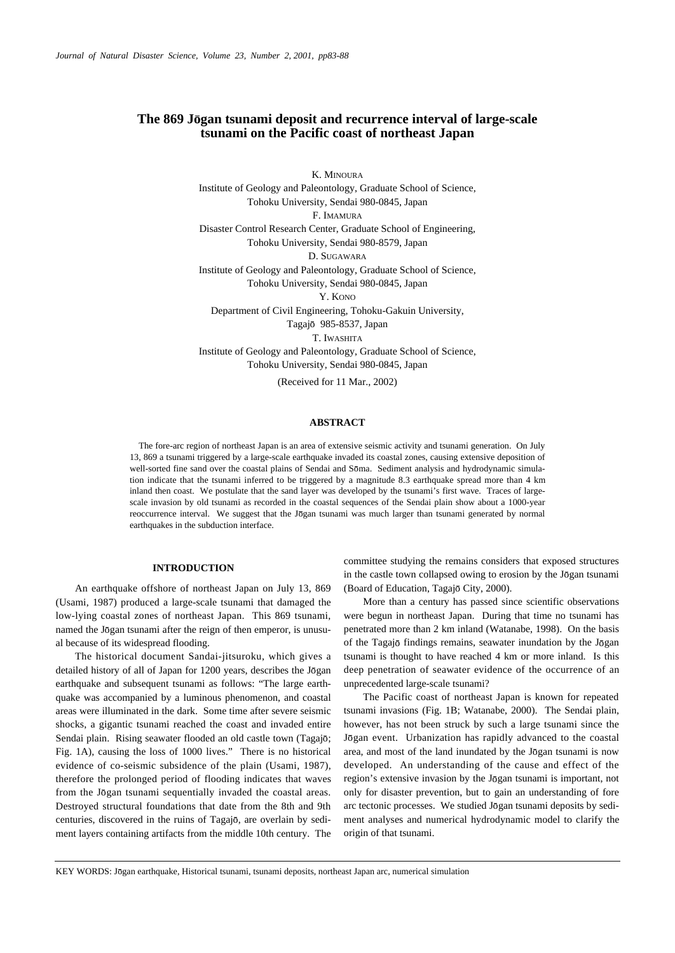# The 869 Jōgan tsunami deposit and recurrence interval of large-scale **tsunami on the Pacific coast of northeast Japan**

K. MINOURA Institute of Geology and Paleontology, Graduate School of Science, Tohoku University, Sendai 980-0845, Japan F. IMAMURA Disaster Control Research Center, Graduate School of Engineering, Tohoku University, Sendai 980-8579, Japan D. SUGAWARA Institute of Geology and Paleontology, Graduate School of Science, Tohoku University, Sendai 980-0845, Japan Y. KONO Department of Civil Engineering, Tohoku-Gakuin University, Tagajō 985-8537, Japan T. IWASHITA Institute of Geology and Paleontology, Graduate School of Science,

Tohoku University, Sendai 980-0845, Japan

(Received for 11 Mar., 2002)

## **ABSTRACT**

The fore-arc region of northeast Japan is an area of extensive seismic activity and tsunami generation. On July 13, 869 a tsunami triggered by a large-scale earthquake invaded its coastal zones, causing extensive deposition of well-sorted fine sand over the coastal plains of Sendai and Sōma. Sediment analysis and hydrodynamic simulation indicate that the tsunami inferred to be triggered by a magnitude 8.3 earthquake spread more than 4 km inland then coast. We postulate that the sand layer was developed by the tsunami's first wave. Traces of largescale invasion by old tsunami as recorded in the coastal sequences of the Sendai plain show about a 1000-year reoccurrence interval. We suggest that the Jōgan tsunami was much larger than tsunami generated by normal earthquakes in the subduction interface.

## **INTRODUCTION**

An earthquake offshore of northeast Japan on July 13, 869 (Usami, 1987) produced a large-scale tsunami that damaged the low-lying coastal zones of northeast Japan. This 869 tsunami, named the Jogan tsunami after the reign of then emperor, is unusual because of its widespread flooding.

The historical document Sandai-jitsuroku, which gives a detailed history of all of Japan for 1200 years, describes the Jogan earthquake and subsequent tsunami as follows: "The large earthquake was accompanied by a luminous phenomenon, and coastal areas were illuminated in the dark. Some time after severe seismic shocks, a gigantic tsunami reached the coast and invaded entire Sendai plain. Rising seawater flooded an old castle town (Tagajō; Fig. 1A), causing the loss of 1000 lives." There is no historical evidence of co-seismic subsidence of the plain (Usami, 1987), therefore the prolonged period of flooding indicates that waves from the Jogan tsunami sequentially invaded the coastal areas. Destroyed structural foundations that date from the 8th and 9th centuries, discovered in the ruins of Tagajō, are overlain by sediment layers containing artifacts from the middle 10th century. The committee studying the remains considers that exposed structures in the castle town collapsed owing to erosion by the Jogan tsunami (Board of Education, Tagajō City, 2000).

More than a century has passed since scientific observations were begun in northeast Japan. During that time no tsunami has penetrated more than 2 km inland (Watanabe, 1998). On the basis of the Tagajō findings remains, seawater inundation by the Jōgan tsunami is thought to have reached 4 km or more inland. Is this deep penetration of seawater evidence of the occurrence of an unprecedented large-scale tsunami?

The Pacific coast of northeast Japan is known for repeated tsunami invasions (Fig. 1B; Watanabe, 2000). The Sendai plain, however, has not been struck by such a large tsunami since the Jogan event. Urbanization has rapidly advanced to the coastal area, and most of the land inundated by the Jogan tsunami is now developed. An understanding of the cause and effect of the region's extensive invasion by the Jogan tsunami is important, not only for disaster prevention, but to gain an understanding of fore arc tectonic processes. We studied Jogan tsunami deposits by sediment analyses and numerical hydrodynamic model to clarify the origin of that tsunami.

KEY WORDS: Jogan earthquake, Historical tsunami, tsunami deposits, northeast Japan arc, numerical simulation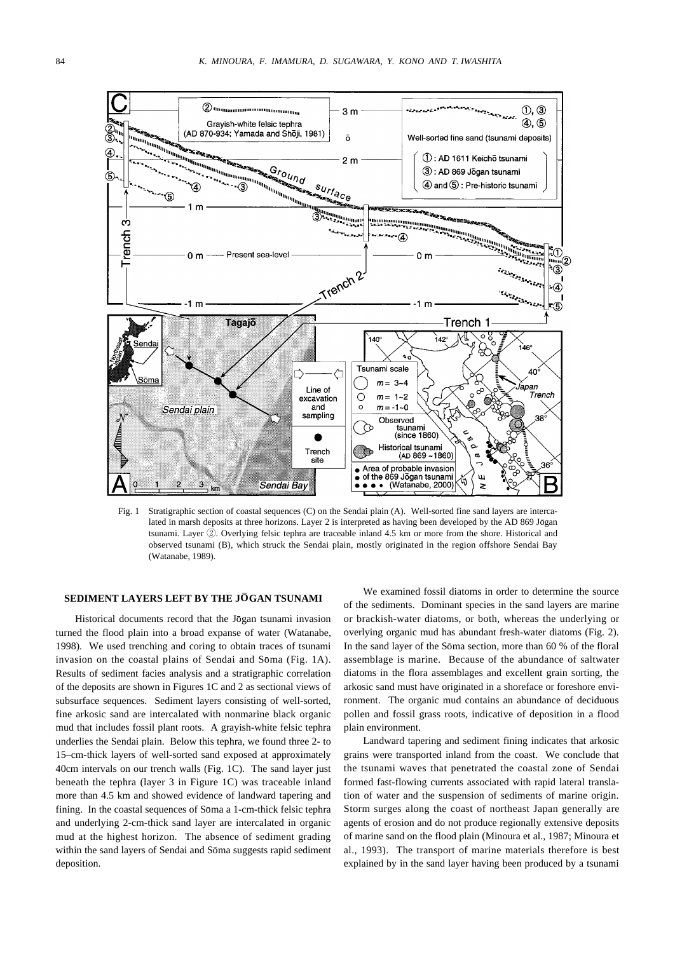

Fig. 1 Stratigraphic section of coastal sequences (C) on the Sendai plain (A). Well-sorted fine sand layers are intercalated in marsh deposits at three horizons. Layer 2 is interpreted as having been developed by the AD 869 Jogan tsunami. Layer ②. Overlying felsic tephra are traceable inland 4.5 km or more from the shore. Historical and observed tsunami (B), which struck the Sendai plain, mostly originated in the region offshore Sendai Bay (Watanabe, 1989).

#### SEDIMENT LAYERS LEFT BY THE JOGAN TSUNAMI

Historical documents record that the Jogan tsunami invasion turned the flood plain into a broad expanse of water (Watanabe, 1998). We used trenching and coring to obtain traces of tsunami invasion on the coastal plains of Sendai and Sōma (Fig. 1A). Results of sediment facies analysis and a stratigraphic correlation of the deposits are shown in Figures 1C and 2 as sectional views of subsurface sequences. Sediment layers consisting of well-sorted, fine arkosic sand are intercalated with nonmarine black organic mud that includes fossil plant roots. A grayish-white felsic tephra underlies the Sendai plain. Below this tephra, we found three 2- to 15–cm-thick layers of well-sorted sand exposed at approximately 40cm intervals on our trench walls (Fig. 1C). The sand layer just beneath the tephra (layer 3 in Figure 1C) was traceable inland more than 4.5 km and showed evidence of landward tapering and fining. In the coastal sequences of Soma a 1-cm-thick felsic tephra and underlying 2-cm-thick sand layer are intercalated in organic mud at the highest horizon. The absence of sediment grading within the sand layers of Sendai and Soma suggests rapid sediment deposition.

We examined fossil diatoms in order to determine the source of the sediments. Dominant species in the sand layers are marine or brackish-water diatoms, or both, whereas the underlying or overlying organic mud has abundant fresh-water diatoms (Fig. 2). In the sand layer of the Soma section, more than 60 % of the floral assemblage is marine. Because of the abundance of saltwater diatoms in the flora assemblages and excellent grain sorting, the arkosic sand must have originated in a shoreface or foreshore environment. The organic mud contains an abundance of deciduous pollen and fossil grass roots, indicative of deposition in a flood plain environment.

Landward tapering and sediment fining indicates that arkosic grains were transported inland from the coast. We conclude that the tsunami waves that penetrated the coastal zone of Sendai formed fast-flowing currents associated with rapid lateral translation of water and the suspension of sediments of marine origin. Storm surges along the coast of northeast Japan generally are agents of erosion and do not produce regionally extensive deposits of marine sand on the flood plain (Minoura et al., 1987; Minoura et al., 1993). The transport of marine materials therefore is best explained by in the sand layer having been produced by a tsunami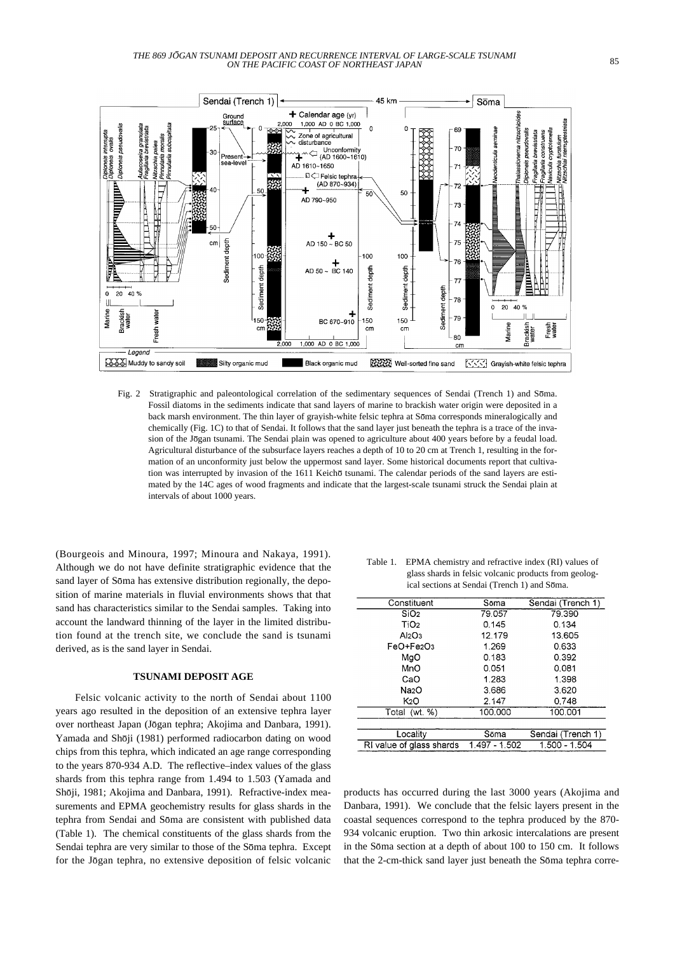

Fig. 2 Stratigraphic and paleontological correlation of the sedimentary sequences of Sendai (Trench 1) and Soma. Fossil diatoms in the sediments indicate that sand layers of marine to brackish water origin were deposited in a back marsh environment. The thin layer of grayish-white felsic tephra at Soma corresponds mineralogically and chemically (Fig. 1C) to that of Sendai. It follows that the sand layer just beneath the tephra is a trace of the invasion of the Jōgan tsunami. The Sendai plain was opened to agriculture about 400 years before by a feudal load. Agricultural disturbance of the subsurface layers reaches a depth of 10 to 20 cm at Trench 1, resulting in the formation of an unconformity just below the uppermost sand layer. Some historical documents report that cultivation was interrupted by invasion of the 1611 Keichō tsunami. The calendar periods of the sand layers are estimated by the 14C ages of wood fragments and indicate that the largest-scale tsunami struck the Sendai plain at intervals of about 1000 years.

(Bourgeois and Minoura, 1997; Minoura and Nakaya, 1991). Although we do not have definite stratigraphic evidence that the sand layer of Soma has extensive distribution regionally, the deposition of marine materials in fluvial environments shows that that sand has characteristics similar to the Sendai samples. Taking into account the landward thinning of the layer in the limited distribution found at the trench site, we conclude the sand is tsunami derived, as is the sand layer in Sendai.

# **TSUNAMI DEPOSIT AGE**

Felsic volcanic activity to the north of Sendai about 1100 years ago resulted in the deposition of an extensive tephra layer over northeast Japan (Jōgan tephra; Akojima and Danbara, 1991). Yamada and Shōji (1981) performed radiocarbon dating on wood chips from this tephra, which indicated an age range corresponding to the years 870-934 A.D. The reflective–index values of the glass shards from this tephra range from 1.494 to 1.503 (Yamada and Shōji, 1981; Akojima and Danbara, 1991). Refractive-index measurements and EPMA geochemistry results for glass shards in the tephra from Sendai and Sōma are consistent with published data (Table 1). The chemical constituents of the glass shards from the Sendai tephra are very similar to those of the Soma tephra. Except for the Jōgan tephra, no extensive deposition of felsic volcanic

| Table 1. | EPMA chemistry and refractive index (RI) values of    |
|----------|-------------------------------------------------------|
|          | glass shards in felsic volcanic products from geolog- |
|          | ical sections at Sendai (Trench 1) and Sōma.          |

| Constituent              | Sōma          | Sendai (Trench 1) |
|--------------------------|---------------|-------------------|
| SiO <sub>2</sub>         | 79.057        | 79.390            |
| TiO <sub>2</sub>         | 0.145         | 0.134             |
| Al2O3                    | 12.179        | 13.605            |
| $FeO + Fe2O3$            | 1.269         | 0.633             |
| MaO                      | 0.183         | 0.392             |
| MnO                      | 0.051         | 0.081             |
| CaO                      | 1.283         | 1.398             |
| Na2O                     | 3.686         | 3.620             |
| K <sub>2</sub> O         | 2.147         | 0.748             |
| Total (wt. %)            | 100.000       | 100.001           |
|                          |               |                   |
| Locality                 | Sōma          | Sendai (Trench 1) |
| RI value of glass shards | 1.497 - 1.502 | 1.500 - 1.504     |

products has occurred during the last 3000 years (Akojima and Danbara, 1991). We conclude that the felsic layers present in the coastal sequences correspond to the tephra produced by the 870- 934 volcanic eruption. Two thin arkosic intercalations are present in the Sōma section at a depth of about 100 to 150 cm. It follows that the 2-cm-thick sand layer just beneath the Soma tephra corre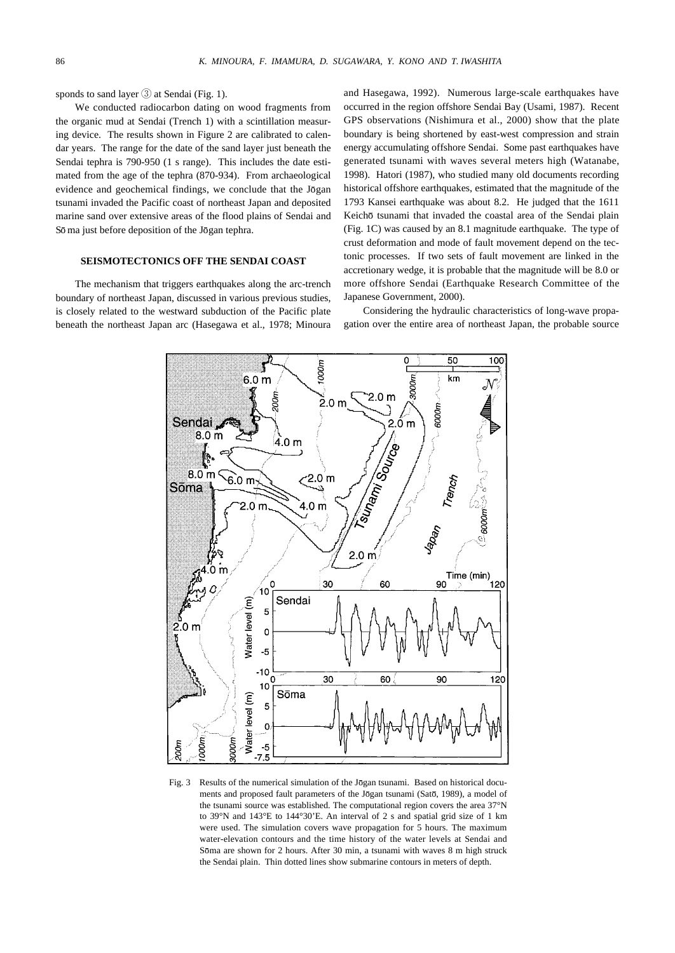sponds to sand layer  $\circled{3}$  at Sendai (Fig. 1).

We conducted radiocarbon dating on wood fragments from the organic mud at Sendai (Trench 1) with a scintillation measuring device. The results shown in Figure 2 are calibrated to calendar years. The range for the date of the sand layer just beneath the Sendai tephra is 790-950 (1 s range). This includes the date estimated from the age of the tephra (870-934). From archaeological evidence and geochemical findings, we conclude that the Jogan tsunami invaded the Pacific coast of northeast Japan and deposited marine sand over extensive areas of the flood plains of Sendai and Sō ma just before deposition of the Jōgan tephra.

### **SEISMOTECTONICS OFF THE SENDAI COAST**

The mechanism that triggers earthquakes along the arc-trench boundary of northeast Japan, discussed in various previous studies, is closely related to the westward subduction of the Pacific plate beneath the northeast Japan arc (Hasegawa et al., 1978; Minoura

and Hasegawa, 1992). Numerous large-scale earthquakes have occurred in the region offshore Sendai Bay (Usami, 1987). Recent GPS observations (Nishimura et al., 2000) show that the plate boundary is being shortened by east-west compression and strain energy accumulating offshore Sendai. Some past earthquakes have generated tsunami with waves several meters high (Watanabe, 1998). Hatori (1987), who studied many old documents recording historical offshore earthquakes, estimated that the magnitude of the 1793 Kansei earthquake was about 8.2. He judged that the 1611 Keichō tsunami that invaded the coastal area of the Sendai plain (Fig. 1C) was caused by an 8.1 magnitude earthquake. The type of crust deformation and mode of fault movement depend on the tectonic processes. If two sets of fault movement are linked in the accretionary wedge, it is probable that the magnitude will be 8.0 or more offshore Sendai (Earthquake Research Committee of the Japanese Government, 2000).

Considering the hydraulic characteristics of long-wave propagation over the entire area of northeast Japan, the probable source



Fig. 3 Results of the numerical simulation of the Jones Islam tsunami. Based on historical documents and proposed fault parameters of the Jogan tsunami (Sato, 1989), a model of the tsunami source was established. The computational region covers the area 37°N to 39°N and 143°E to 144°30'E. An interval of 2 s and spatial grid size of 1 km were used. The simulation covers wave propagation for 5 hours. The maximum water-elevation contours and the time history of the water levels at Sendai and Soma are shown for 2 hours. After 30 min, a tsunami with waves 8 m high struck the Sendai plain. Thin dotted lines show submarine contours in meters of depth.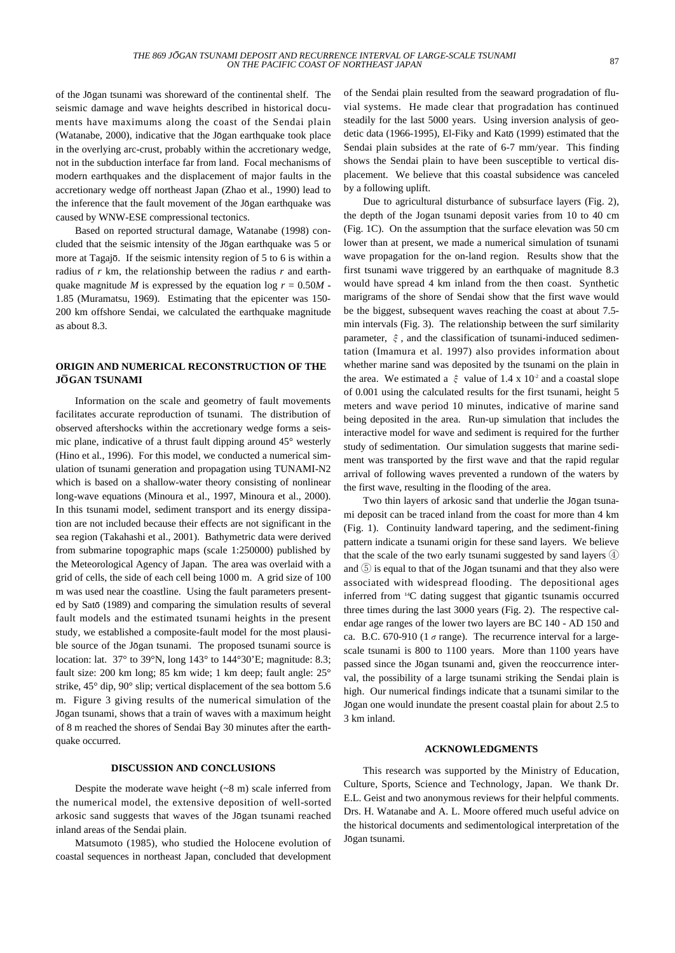of the Jogan tsunami was shoreward of the continental shelf. The seismic damage and wave heights described in historical documents have maximums along the coast of the Sendai plain (Watanabe, 2000), indicative that the Jōgan earthquake took place in the overlying arc-crust, probably within the accretionary wedge, not in the subduction interface far from land. Focal mechanisms of modern earthquakes and the displacement of major faults in the accretionary wedge off northeast Japan (Zhao et al., 1990) lead to the inference that the fault movement of the Jogan earthquake was caused by WNW-ESE compressional tectonics.

Based on reported structural damage, Watanabe (1998) concluded that the seismic intensity of the Jogan earthquake was 5 or more at Tagajō. If the seismic intensity region of 5 to 6 is within a radius of *r* km, the relationship between the radius *r* and earthquake magnitude *M* is expressed by the equation log  $r = 0.50M$ . 1.85 (Muramatsu, 1969). Estimating that the epicenter was 150- 200 km offshore Sendai, we calculated the earthquake magnitude as about 8.3.

# **ORIGIN AND NUMERICAL RECONSTRUCTION OF THE J GAN TSUNAMI O**

Information on the scale and geometry of fault movements facilitates accurate reproduction of tsunami. The distribution of observed aftershocks within the accretionary wedge forms a seismic plane, indicative of a thrust fault dipping around 45° westerly (Hino et al., 1996). For this model, we conducted a numerical simulation of tsunami generation and propagation using TUNAMI-N2 which is based on a shallow-water theory consisting of nonlinear long-wave equations (Minoura et al., 1997, Minoura et al., 2000). In this tsunami model, sediment transport and its energy dissipation are not included because their effects are not significant in the sea region (Takahashi et al., 2001). Bathymetric data were derived from submarine topographic maps (scale 1:250000) published by the Meteorological Agency of Japan. The area was overlaid with a grid of cells, the side of each cell being 1000 m. A grid size of 100 m was used near the coastline. Using the fault parameters presented by Satō (1989) and comparing the simulation results of several fault models and the estimated tsunami heights in the present study, we established a composite-fault model for the most plausible source of the Jogan tsunami. The proposed tsunami source is location: lat. 37° to 39°N, long 143° to 144°30'E; magnitude: 8.3; fault size: 200 km long; 85 km wide; 1 km deep; fault angle: 25° strike, 45° dip, 90° slip; vertical displacement of the sea bottom 5.6 m. Figure 3 giving results of the numerical simulation of the Jōgan tsunami, shows that a train of waves with a maximum height of 8 m reached the shores of Sendai Bay 30 minutes after the earthquake occurred.

#### **DISCUSSION AND CONCLUSIONS**

Despite the moderate wave height (~8 m) scale inferred from the numerical model, the extensive deposition of well-sorted arkosic sand suggests that waves of the Jogan tsunami reached inland areas of the Sendai plain.

Matsumoto (1985), who studied the Holocene evolution of coastal sequences in northeast Japan, concluded that development

of the Sendai plain resulted from the seaward progradation of fluvial systems. He made clear that progradation has continued steadily for the last 5000 years. Using inversion analysis of geodetic data (1966-1995), El-Fiky and Katō (1999) estimated that the Sendai plain subsides at the rate of 6-7 mm/year. This finding shows the Sendai plain to have been susceptible to vertical displacement. We believe that this coastal subsidence was canceled by a following uplift.

Due to agricultural disturbance of subsurface layers (Fig. 2), the depth of the Jogan tsunami deposit varies from 10 to 40 cm (Fig. 1C). On the assumption that the surface elevation was 50 cm lower than at present, we made a numerical simulation of tsunami wave propagation for the on-land region. Results show that the first tsunami wave triggered by an earthquake of magnitude 8.3 would have spread 4 km inland from the then coast. Synthetic marigrams of the shore of Sendai show that the first wave would be the biggest, subsequent waves reaching the coast at about 7.5 min intervals (Fig. 3). The relationship between the surf similarity parameter,  $\xi$ , and the classification of tsunami-induced sedimentation (Imamura et al. 1997) also provides information about whether marine sand was deposited by the tsunami on the plain in the area. We estimated a  $\xi$  value of 1.4 x 10<sup>-2</sup> and a coastal slope of 0.001 using the calculated results for the first tsunami, height 5 meters and wave period 10 minutes, indicative of marine sand being deposited in the area. Run-up simulation that includes the interactive model for wave and sediment is required for the further study of sedimentation. Our simulation suggests that marine sediment was transported by the first wave and that the rapid regular arrival of following waves prevented a rundown of the waters by the first wave, resulting in the flooding of the area.

Two thin layers of arkosic sand that underlie the Jogan tsunami deposit can be traced inland from the coast for more than 4 km (Fig. 1). Continuity landward tapering, and the sediment-fining pattern indicate a tsunami origin for these sand layers. We believe that the scale of the two early tsunami suggested by sand layers ④ and  $(5)$  is equal to that of the Jogan tsunami and that they also were associated with widespread flooding. The depositional ages inferred from 14C dating suggest that gigantic tsunamis occurred three times during the last 3000 years (Fig. 2). The respective calendar age ranges of the lower two layers are BC 140 - AD 150 and ca. B.C. 670-910 (1  $\sigma$  range). The recurrence interval for a largescale tsunami is 800 to 1100 years. More than 1100 years have passed since the Jogan tsunami and, given the reoccurrence interval, the possibility of a large tsunami striking the Sendai plain is high. Our numerical findings indicate that a tsunami similar to the Jogan one would inundate the present coastal plain for about 2.5 to 3 km inland.

#### **ACKNOWLEDGMENTS**

This research was supported by the Ministry of Education, Culture, Sports, Science and Technology, Japan. We thank Dr. E.L. Geist and two anonymous reviews for their helpful comments. Drs. H. Watanabe and A. L. Moore offered much useful advice on the historical documents and sedimentological interpretation of the Jōgan tsunami.